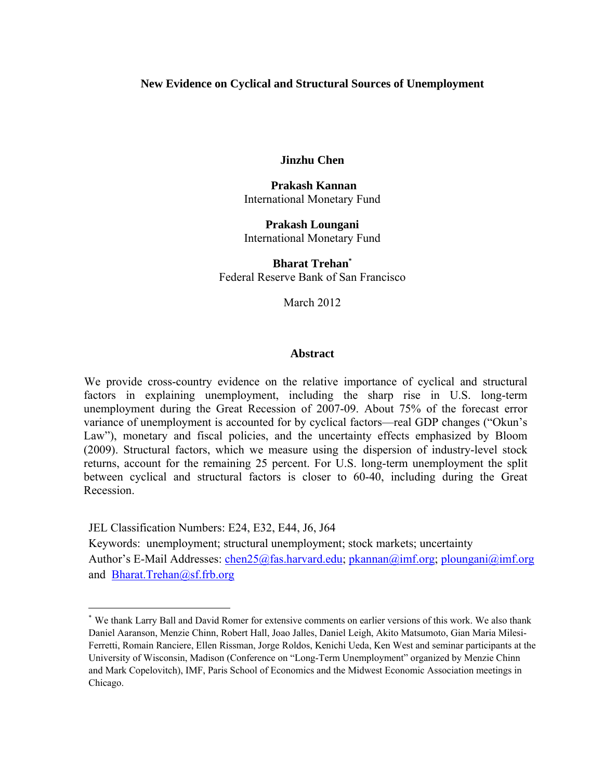## **New Evidence on Cyclical and Structural Sources of Unemployment**

**Jinzhu Chen** 

 **Prakash Kannan**  International Monetary Fund

**Prakash Loungani**  International Monetary Fund

**Bharat Trehan\*** Federal Reserve Bank of San Francisco

March 2012

#### **Abstract**

We provide cross-country evidence on the relative importance of cyclical and structural factors in explaining unemployment, including the sharp rise in U.S. long-term unemployment during the Great Recession of 2007-09. About 75% of the forecast error variance of unemployment is accounted for by cyclical factors—real GDP changes ("Okun's Law"), monetary and fiscal policies, and the uncertainty effects emphasized by Bloom (2009). Structural factors, which we measure using the dispersion of industry-level stock returns, account for the remaining 25 percent. For U.S. long-term unemployment the split between cyclical and structural factors is closer to 60-40, including during the Great Recession.

JEL Classification Numbers: E24, E32, E44, J6, J64

 $\overline{a}$ 

Keywords: unemployment; structural unemployment; stock markets; uncertainty Author's E-Mail Addresses: chen25@fas.harvard.edu; pkannan@imf.org; ploungani@imf.org and Bharat.Trehan@sf.frb.org

<sup>\*</sup> We thank Larry Ball and David Romer for extensive comments on earlier versions of this work. We also thank Daniel Aaranson, Menzie Chinn, Robert Hall, Joao Jalles, Daniel Leigh, Akito Matsumoto, Gian Maria Milesi-Ferretti, Romain Ranciere, Ellen Rissman, Jorge Roldos, Kenichi Ueda, Ken West and seminar participants at the University of Wisconsin, Madison (Conference on "Long-Term Unemployment" organized by Menzie Chinn and Mark Copelovitch), IMF, Paris School of Economics and the Midwest Economic Association meetings in Chicago.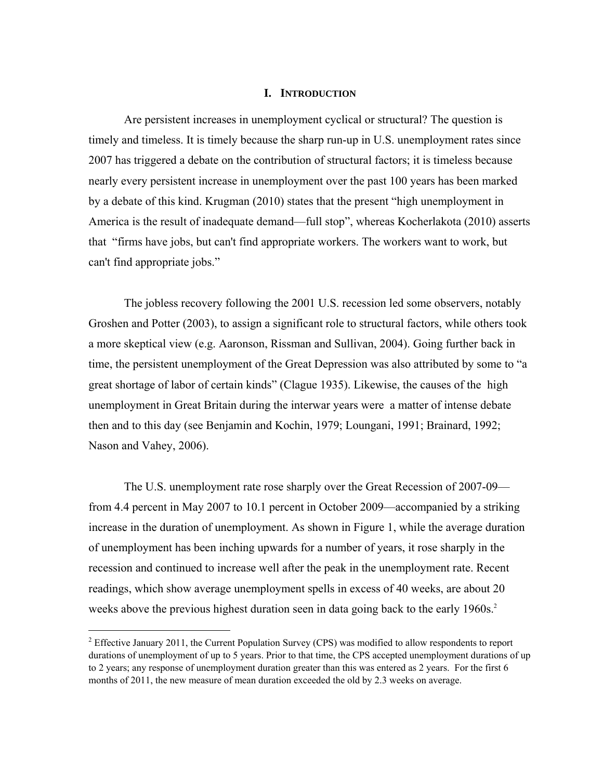#### **I. INTRODUCTION**

Are persistent increases in unemployment cyclical or structural? The question is timely and timeless. It is timely because the sharp run-up in U.S. unemployment rates since 2007 has triggered a debate on the contribution of structural factors; it is timeless because nearly every persistent increase in unemployment over the past 100 years has been marked by a debate of this kind. Krugman (2010) states that the present "high unemployment in America is the result of inadequate demand—full stop", whereas Kocherlakota (2010) asserts that "firms have jobs, but can't find appropriate workers. The workers want to work, but can't find appropriate jobs."

The jobless recovery following the 2001 U.S. recession led some observers, notably Groshen and Potter (2003), to assign a significant role to structural factors, while others took a more skeptical view (e.g. Aaronson, Rissman and Sullivan, 2004). Going further back in time, the persistent unemployment of the Great Depression was also attributed by some to "a great shortage of labor of certain kinds" (Clague 1935). Likewise, the causes of the high unemployment in Great Britain during the interwar years were a matter of intense debate then and to this day (see Benjamin and Kochin, 1979; Loungani, 1991; Brainard, 1992; Nason and Vahey, 2006).

The U.S. unemployment rate rose sharply over the Great Recession of 2007-09 from 4.4 percent in May 2007 to 10.1 percent in October 2009—accompanied by a striking increase in the duration of unemployment. As shown in Figure 1, while the average duration of unemployment has been inching upwards for a number of years, it rose sharply in the recession and continued to increase well after the peak in the unemployment rate. Recent readings, which show average unemployment spells in excess of 40 weeks, are about 20 weeks above the previous highest duration seen in data going back to the early 1960s.<sup>2</sup>

 $\overline{a}$ 

<sup>&</sup>lt;sup>2</sup> Effective January 2011, the Current Population Survey (CPS) was modified to allow respondents to report durations of unemployment of up to 5 years. Prior to that time, the CPS accepted unemployment durations of up to 2 years; any response of unemployment duration greater than this was entered as 2 years. For the first 6 months of 2011, the new measure of mean duration exceeded the old by 2.3 weeks on average.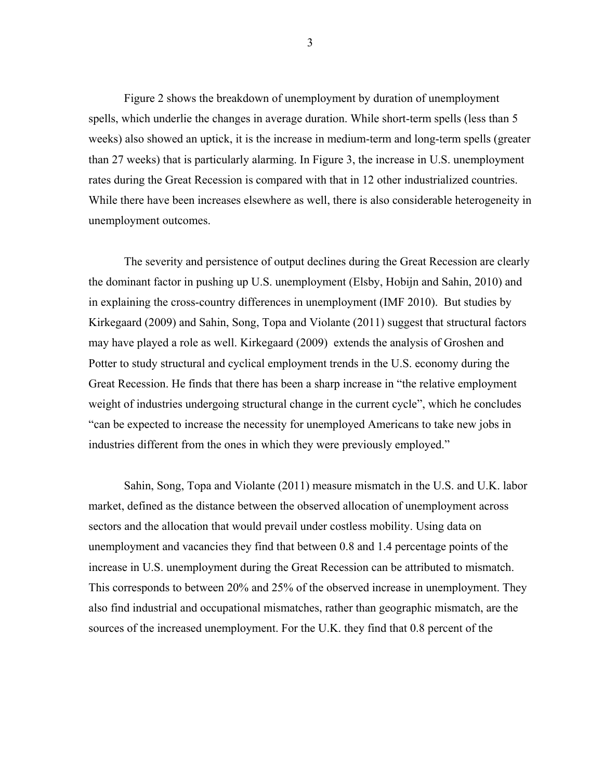Figure 2 shows the breakdown of unemployment by duration of unemployment spells, which underlie the changes in average duration. While short-term spells (less than 5 weeks) also showed an uptick, it is the increase in medium-term and long-term spells (greater than 27 weeks) that is particularly alarming. In Figure 3, the increase in U.S. unemployment rates during the Great Recession is compared with that in 12 other industrialized countries. While there have been increases elsewhere as well, there is also considerable heterogeneity in unemployment outcomes.

The severity and persistence of output declines during the Great Recession are clearly the dominant factor in pushing up U.S. unemployment (Elsby, Hobijn and Sahin, 2010) and in explaining the cross-country differences in unemployment (IMF 2010). But studies by Kirkegaard (2009) and Sahin, Song, Topa and Violante (2011) suggest that structural factors may have played a role as well. Kirkegaard (2009) extends the analysis of Groshen and Potter to study structural and cyclical employment trends in the U.S. economy during the Great Recession. He finds that there has been a sharp increase in "the relative employment weight of industries undergoing structural change in the current cycle", which he concludes "can be expected to increase the necessity for unemployed Americans to take new jobs in industries different from the ones in which they were previously employed."

Sahin, Song, Topa and Violante (2011) measure mismatch in the U.S. and U.K. labor market, defined as the distance between the observed allocation of unemployment across sectors and the allocation that would prevail under costless mobility. Using data on unemployment and vacancies they find that between 0.8 and 1.4 percentage points of the increase in U.S. unemployment during the Great Recession can be attributed to mismatch. This corresponds to between 20% and 25% of the observed increase in unemployment. They also find industrial and occupational mismatches, rather than geographic mismatch, are the sources of the increased unemployment. For the U.K. they find that 0.8 percent of the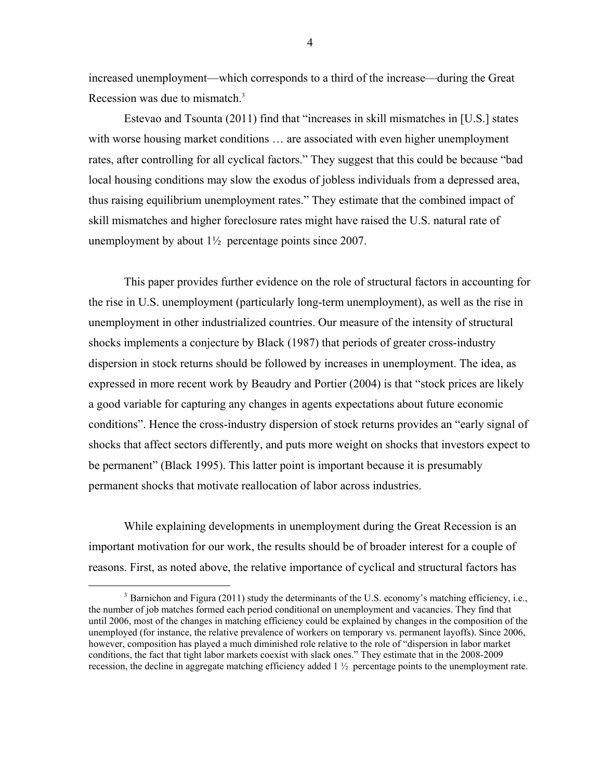increased unemployment—which corresponds to a third of the increase—during the Great Recession was due to mismatch.<sup>3</sup>

Estevao and Tsounta (2011) find that "increases in skill mismatches in [U.S.] states with worse housing market conditions ... are associated with even higher unemployment rates, after controlling for all cyclical factors." They suggest that this could be because "bad local housing conditions may slow the exodus of jobless individuals from a depressed area, thus raising equilibrium unemployment rates." They estimate that the combined impact of skill mismatches and higher foreclosure rates might have raised the U.S. natural rate of unemployment by about  $1\frac{1}{2}$  percentage points since 2007.

This paper provides further evidence on the role of structural factors in accounting for the rise in U.S. unemployment (particularly long-term unemployment), as well as the rise in unemployment in other industrialized countries. Our measure of the intensity of structural shocks implements a conjecture by Black (1987) that periods of greater cross-industry dispersion in stock returns should be followed by increases in unemployment. The idea, as expressed in more recent work by Beaudry and Portier (2004) is that "stock prices are likely a good variable for capturing any changes in agents expectations about future economic conditions". Hence the cross-industry dispersion of stock returns provides an "early signal of shocks that affect sectors differently, and puts more weight on shocks that investors expect to be permanent" (Black 1995). This latter point is important because it is presumably permanent shocks that motivate reallocation of labor across industries.

While explaining developments in unemployment during the Great Recession is an important motivation for our work, the results should be of broader interest for a couple of reasons. First, as noted above, the relative importance of cyclical and structural factors has

<sup>&</sup>lt;sup>3</sup> Barnichon and Figura (2011) study the determinants of the U.S. economy's matching efficiency, i.e., the number of job matches formed each period conditional on unemployment and vacancies. They find that until 2006, most of the changes in matching efficiency could be explained by changes in the composition of the unemployed (for instance, the relative prevalence of workers on temporary vs. permanent layoffs). Since 2006, however, composition has played a much diminished role relative to the role of "dispersion in labor market conditions, the fact that tight labor markets coexist with slack ones." They estimate that in the 2008-2009 recession, the decline in aggregate matching efficiency added  $1\frac{1}{2}$  percentage points to the unemployment rate.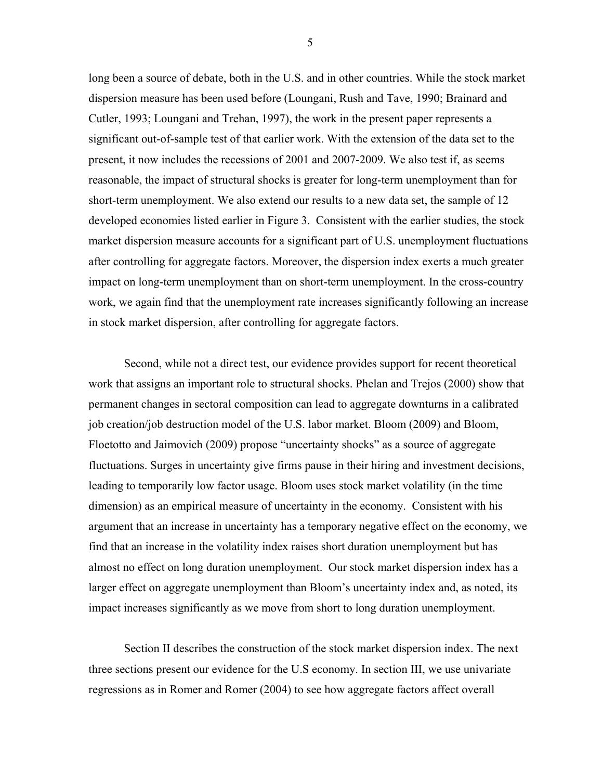long been a source of debate, both in the U.S. and in other countries. While the stock market dispersion measure has been used before (Loungani, Rush and Tave, 1990; Brainard and Cutler, 1993; Loungani and Trehan, 1997), the work in the present paper represents a significant out-of-sample test of that earlier work. With the extension of the data set to the present, it now includes the recessions of 2001 and 2007-2009. We also test if, as seems reasonable, the impact of structural shocks is greater for long-term unemployment than for short-term unemployment. We also extend our results to a new data set, the sample of 12 developed economies listed earlier in Figure 3. Consistent with the earlier studies, the stock market dispersion measure accounts for a significant part of U.S. unemployment fluctuations after controlling for aggregate factors. Moreover, the dispersion index exerts a much greater impact on long-term unemployment than on short-term unemployment. In the cross-country work, we again find that the unemployment rate increases significantly following an increase in stock market dispersion, after controlling for aggregate factors.

Second, while not a direct test, our evidence provides support for recent theoretical work that assigns an important role to structural shocks. Phelan and Trejos (2000) show that permanent changes in sectoral composition can lead to aggregate downturns in a calibrated job creation/job destruction model of the U.S. labor market. Bloom (2009) and Bloom, Floetotto and Jaimovich (2009) propose "uncertainty shocks" as a source of aggregate fluctuations. Surges in uncertainty give firms pause in their hiring and investment decisions, leading to temporarily low factor usage. Bloom uses stock market volatility (in the time dimension) as an empirical measure of uncertainty in the economy. Consistent with his argument that an increase in uncertainty has a temporary negative effect on the economy, we find that an increase in the volatility index raises short duration unemployment but has almost no effect on long duration unemployment. Our stock market dispersion index has a larger effect on aggregate unemployment than Bloom's uncertainty index and, as noted, its impact increases significantly as we move from short to long duration unemployment.

Section II describes the construction of the stock market dispersion index. The next three sections present our evidence for the U.S economy. In section III, we use univariate regressions as in Romer and Romer (2004) to see how aggregate factors affect overall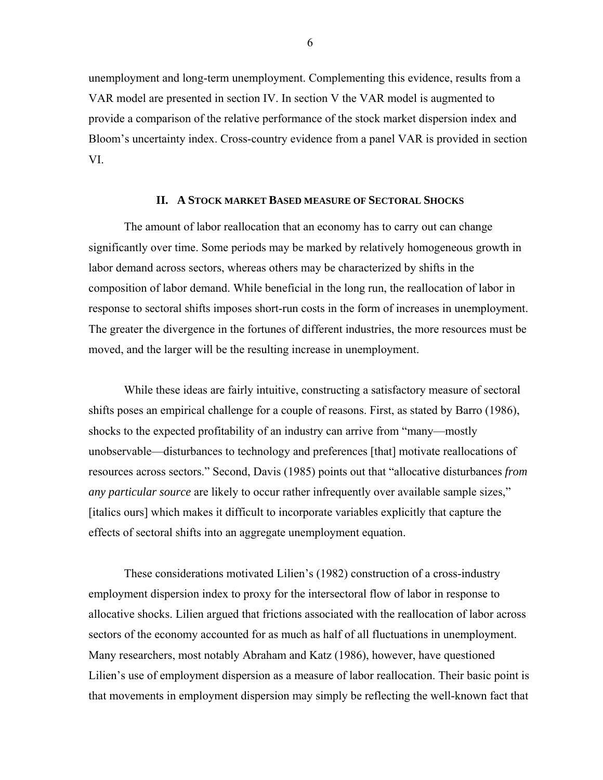unemployment and long-term unemployment. Complementing this evidence, results from a VAR model are presented in section IV. In section V the VAR model is augmented to provide a comparison of the relative performance of the stock market dispersion index and Bloom's uncertainty index. Cross-country evidence from a panel VAR is provided in section VI.

### **II. A STOCK MARKET BASED MEASURE OF SECTORAL SHOCKS**

The amount of labor reallocation that an economy has to carry out can change significantly over time. Some periods may be marked by relatively homogeneous growth in labor demand across sectors, whereas others may be characterized by shifts in the composition of labor demand. While beneficial in the long run, the reallocation of labor in response to sectoral shifts imposes short-run costs in the form of increases in unemployment. The greater the divergence in the fortunes of different industries, the more resources must be moved, and the larger will be the resulting increase in unemployment.

While these ideas are fairly intuitive, constructing a satisfactory measure of sectoral shifts poses an empirical challenge for a couple of reasons. First, as stated by Barro (1986), shocks to the expected profitability of an industry can arrive from "many—mostly unobservable—disturbances to technology and preferences [that] motivate reallocations of resources across sectors." Second, Davis (1985) points out that "allocative disturbances *from any particular source* are likely to occur rather infrequently over available sample sizes," [italics ours] which makes it difficult to incorporate variables explicitly that capture the effects of sectoral shifts into an aggregate unemployment equation.

These considerations motivated Lilien's (1982) construction of a cross-industry employment dispersion index to proxy for the intersectoral flow of labor in response to allocative shocks. Lilien argued that frictions associated with the reallocation of labor across sectors of the economy accounted for as much as half of all fluctuations in unemployment. Many researchers, most notably Abraham and Katz (1986), however, have questioned Lilien's use of employment dispersion as a measure of labor reallocation. Their basic point is that movements in employment dispersion may simply be reflecting the well-known fact that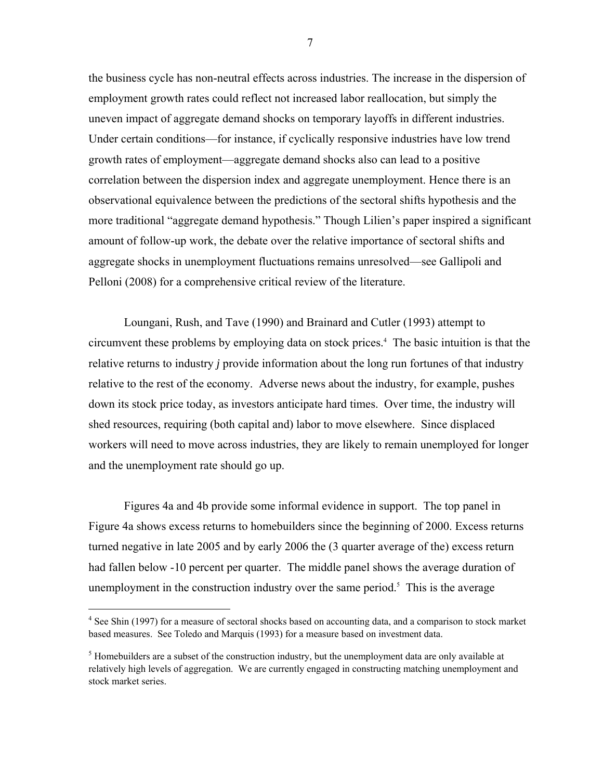the business cycle has non-neutral effects across industries. The increase in the dispersion of employment growth rates could reflect not increased labor reallocation, but simply the uneven impact of aggregate demand shocks on temporary layoffs in different industries. Under certain conditions—for instance, if cyclically responsive industries have low trend growth rates of employment—aggregate demand shocks also can lead to a positive correlation between the dispersion index and aggregate unemployment. Hence there is an observational equivalence between the predictions of the sectoral shifts hypothesis and the more traditional "aggregate demand hypothesis." Though Lilien's paper inspired a significant amount of follow-up work, the debate over the relative importance of sectoral shifts and aggregate shocks in unemployment fluctuations remains unresolved—see Gallipoli and Pelloni (2008) for a comprehensive critical review of the literature.

Loungani, Rush, and Tave (1990) and Brainard and Cutler (1993) attempt to circumvent these problems by employing data on stock prices.<sup>4</sup> The basic intuition is that the relative returns to industry *j* provide information about the long run fortunes of that industry relative to the rest of the economy. Adverse news about the industry, for example, pushes down its stock price today, as investors anticipate hard times. Over time, the industry will shed resources, requiring (both capital and) labor to move elsewhere. Since displaced workers will need to move across industries, they are likely to remain unemployed for longer and the unemployment rate should go up.

Figures 4a and 4b provide some informal evidence in support. The top panel in Figure 4a shows excess returns to homebuilders since the beginning of 2000. Excess returns turned negative in late 2005 and by early 2006 the (3 quarter average of the) excess return had fallen below -10 percent per quarter. The middle panel shows the average duration of unemployment in the construction industry over the same period.<sup>5</sup> This is the average

 $\overline{a}$ 

<sup>&</sup>lt;sup>4</sup> See Shin (1997) for a measure of sectoral shocks based on accounting data, and a comparison to stock market based measures. See Toledo and Marquis (1993) for a measure based on investment data.

 $<sup>5</sup>$  Homebuilders are a subset of the construction industry, but the unemployment data are only available at</sup> relatively high levels of aggregation. We are currently engaged in constructing matching unemployment and stock market series.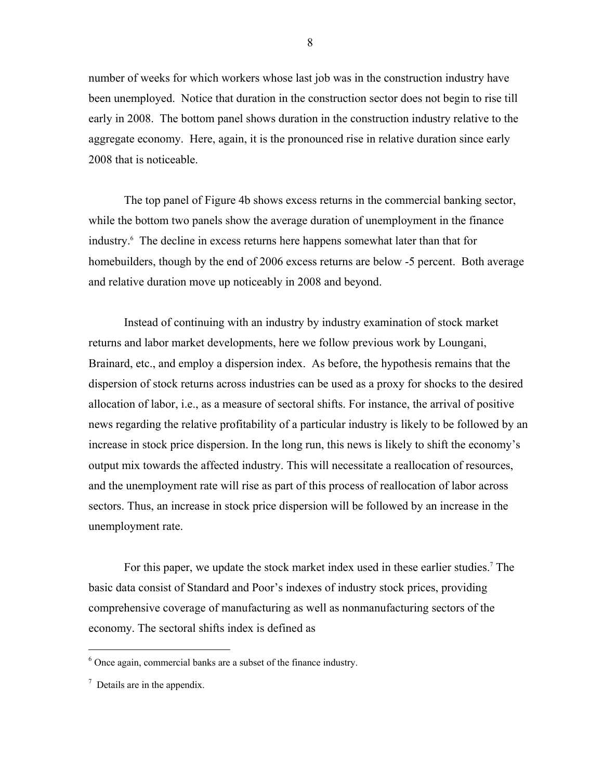number of weeks for which workers whose last job was in the construction industry have been unemployed. Notice that duration in the construction sector does not begin to rise till early in 2008. The bottom panel shows duration in the construction industry relative to the aggregate economy. Here, again, it is the pronounced rise in relative duration since early 2008 that is noticeable.

The top panel of Figure 4b shows excess returns in the commercial banking sector, while the bottom two panels show the average duration of unemployment in the finance industry.6 The decline in excess returns here happens somewhat later than that for homebuilders, though by the end of 2006 excess returns are below -5 percent. Both average and relative duration move up noticeably in 2008 and beyond.

Instead of continuing with an industry by industry examination of stock market returns and labor market developments, here we follow previous work by Loungani, Brainard, etc., and employ a dispersion index. As before, the hypothesis remains that the dispersion of stock returns across industries can be used as a proxy for shocks to the desired allocation of labor, i.e., as a measure of sectoral shifts. For instance, the arrival of positive news regarding the relative profitability of a particular industry is likely to be followed by an increase in stock price dispersion. In the long run, this news is likely to shift the economy's output mix towards the affected industry. This will necessitate a reallocation of resources, and the unemployment rate will rise as part of this process of reallocation of labor across sectors. Thus, an increase in stock price dispersion will be followed by an increase in the unemployment rate.

For this paper, we update the stock market index used in these earlier studies.<sup>7</sup> The basic data consist of Standard and Poor's indexes of industry stock prices, providing comprehensive coverage of manufacturing as well as nonmanufacturing sectors of the economy. The sectoral shifts index is defined as

<u>.</u>

<sup>6</sup> Once again, commercial banks are a subset of the finance industry.

 $7$  Details are in the appendix.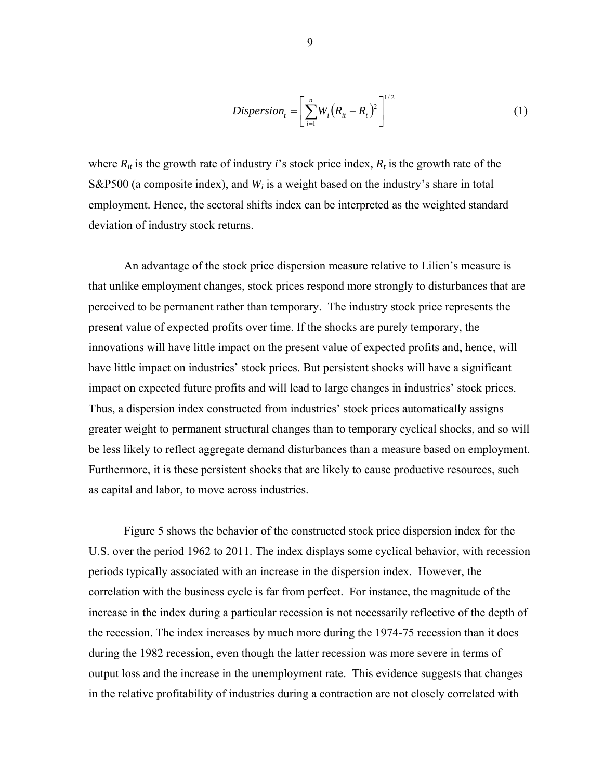$$
Disperson_{t} = \left[\sum_{i=1}^{n} W_{i} (R_{it} - R_{t})^{2}\right]^{1/2}
$$
\n(1)

where  $R_{it}$  is the growth rate of industry *i*'s stock price index,  $R_t$  is the growth rate of the S&P500 (a composite index), and *Wi* is a weight based on the industry's share in total employment. Hence, the sectoral shifts index can be interpreted as the weighted standard deviation of industry stock returns.

An advantage of the stock price dispersion measure relative to Lilien's measure is that unlike employment changes, stock prices respond more strongly to disturbances that are perceived to be permanent rather than temporary. The industry stock price represents the present value of expected profits over time. If the shocks are purely temporary, the innovations will have little impact on the present value of expected profits and, hence, will have little impact on industries' stock prices. But persistent shocks will have a significant impact on expected future profits and will lead to large changes in industries' stock prices. Thus, a dispersion index constructed from industries' stock prices automatically assigns greater weight to permanent structural changes than to temporary cyclical shocks, and so will be less likely to reflect aggregate demand disturbances than a measure based on employment. Furthermore, it is these persistent shocks that are likely to cause productive resources, such as capital and labor, to move across industries.

 Figure 5 shows the behavior of the constructed stock price dispersion index for the U.S. over the period 1962 to 2011. The index displays some cyclical behavior, with recession periods typically associated with an increase in the dispersion index. However, the correlation with the business cycle is far from perfect. For instance, the magnitude of the increase in the index during a particular recession is not necessarily reflective of the depth of the recession. The index increases by much more during the 1974-75 recession than it does during the 1982 recession, even though the latter recession was more severe in terms of output loss and the increase in the unemployment rate. This evidence suggests that changes in the relative profitability of industries during a contraction are not closely correlated with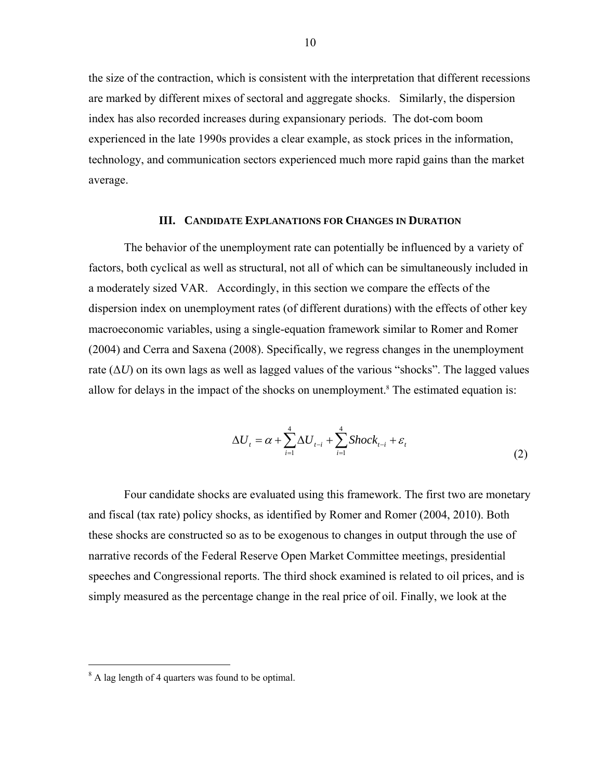the size of the contraction, which is consistent with the interpretation that different recessions are marked by different mixes of sectoral and aggregate shocks. Similarly, the dispersion index has also recorded increases during expansionary periods. The dot-com boom experienced in the late 1990s provides a clear example, as stock prices in the information, technology, and communication sectors experienced much more rapid gains than the market average.

#### **III. CANDIDATE EXPLANATIONS FOR CHANGES IN DURATION**

The behavior of the unemployment rate can potentially be influenced by a variety of factors, both cyclical as well as structural, not all of which can be simultaneously included in a moderately sized VAR. Accordingly, in this section we compare the effects of the dispersion index on unemployment rates (of different durations) with the effects of other key macroeconomic variables, using a single-equation framework similar to Romer and Romer (2004) and Cerra and Saxena (2008). Specifically, we regress changes in the unemployment rate  $(\Delta U)$  on its own lags as well as lagged values of the various "shocks". The lagged values allow for delays in the impact of the shocks on unemployment.<sup>8</sup> The estimated equation is:

$$
\Delta U_t = \alpha + \sum_{i=1}^4 \Delta U_{t-i} + \sum_{i=1}^4 \text{Shock}_{t-i} + \varepsilon_t
$$
\n<sup>(2)</sup>

Four candidate shocks are evaluated using this framework. The first two are monetary and fiscal (tax rate) policy shocks, as identified by Romer and Romer (2004, 2010). Both these shocks are constructed so as to be exogenous to changes in output through the use of narrative records of the Federal Reserve Open Market Committee meetings, presidential speeches and Congressional reports. The third shock examined is related to oil prices, and is simply measured as the percentage change in the real price of oil. Finally, we look at the

 $\overline{a}$ 

<sup>&</sup>lt;sup>8</sup> A lag length of 4 quarters was found to be optimal.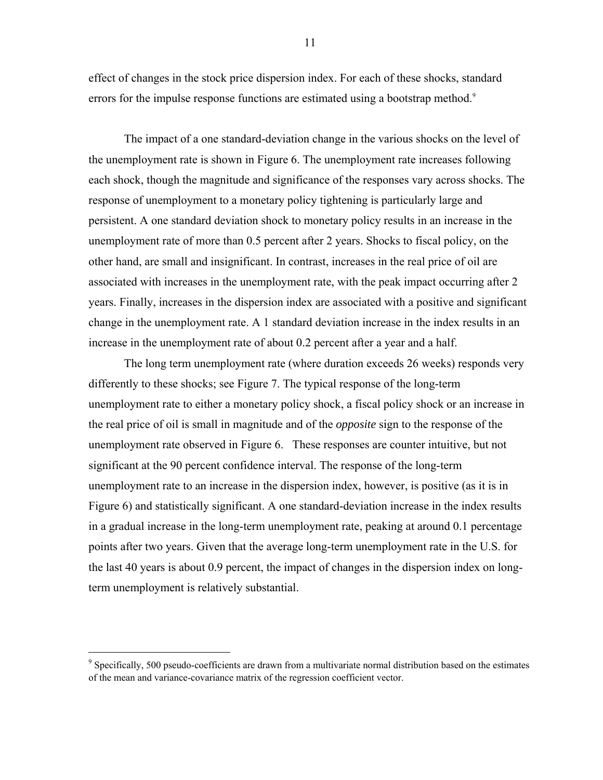effect of changes in the stock price dispersion index. For each of these shocks, standard errors for the impulse response functions are estimated using a bootstrap method.<sup>9</sup>

The impact of a one standard-deviation change in the various shocks on the level of the unemployment rate is shown in Figure 6. The unemployment rate increases following each shock, though the magnitude and significance of the responses vary across shocks. The response of unemployment to a monetary policy tightening is particularly large and persistent. A one standard deviation shock to monetary policy results in an increase in the unemployment rate of more than 0.5 percent after 2 years. Shocks to fiscal policy, on the other hand, are small and insignificant. In contrast, increases in the real price of oil are associated with increases in the unemployment rate, with the peak impact occurring after 2 years. Finally, increases in the dispersion index are associated with a positive and significant change in the unemployment rate. A 1 standard deviation increase in the index results in an increase in the unemployment rate of about 0.2 percent after a year and a half.

The long term unemployment rate (where duration exceeds 26 weeks) responds very differently to these shocks; see Figure 7. The typical response of the long-term unemployment rate to either a monetary policy shock, a fiscal policy shock or an increase in the real price of oil is small in magnitude and of the *opposite* sign to the response of the unemployment rate observed in Figure 6. These responses are counter intuitive, but not significant at the 90 percent confidence interval. The response of the long-term unemployment rate to an increase in the dispersion index, however, is positive (as it is in Figure 6) and statistically significant. A one standard-deviation increase in the index results in a gradual increase in the long-term unemployment rate, peaking at around 0.1 percentage points after two years. Given that the average long-term unemployment rate in the U.S. for the last 40 years is about 0.9 percent, the impact of changes in the dispersion index on longterm unemployment is relatively substantial.

 $\overline{a}$ 

<sup>&</sup>lt;sup>9</sup> Specifically, 500 pseudo-coefficients are drawn from a multivariate normal distribution based on the estimates of the mean and variance-covariance matrix of the regression coefficient vector.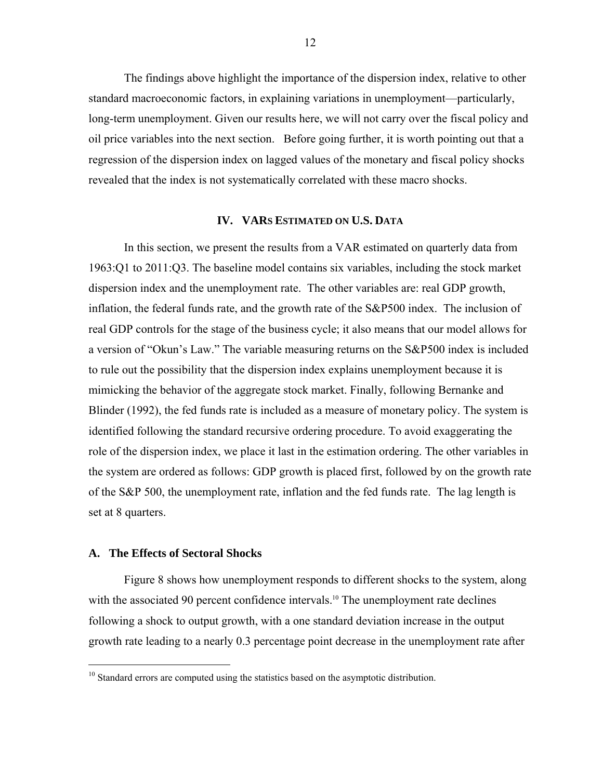The findings above highlight the importance of the dispersion index, relative to other standard macroeconomic factors, in explaining variations in unemployment—particularly, long-term unemployment. Given our results here, we will not carry over the fiscal policy and oil price variables into the next section. Before going further, it is worth pointing out that a regression of the dispersion index on lagged values of the monetary and fiscal policy shocks revealed that the index is not systematically correlated with these macro shocks.

#### **IV. VARS ESTIMATED ON U.S. DATA**

In this section, we present the results from a VAR estimated on quarterly data from 1963:Q1 to 2011:Q3. The baseline model contains six variables, including the stock market dispersion index and the unemployment rate. The other variables are: real GDP growth, inflation, the federal funds rate, and the growth rate of the S&P500 index. The inclusion of real GDP controls for the stage of the business cycle; it also means that our model allows for a version of "Okun's Law." The variable measuring returns on the S&P500 index is included to rule out the possibility that the dispersion index explains unemployment because it is mimicking the behavior of the aggregate stock market. Finally, following Bernanke and Blinder (1992), the fed funds rate is included as a measure of monetary policy. The system is identified following the standard recursive ordering procedure. To avoid exaggerating the role of the dispersion index, we place it last in the estimation ordering. The other variables in the system are ordered as follows: GDP growth is placed first, followed by on the growth rate of the S&P 500, the unemployment rate, inflation and the fed funds rate. The lag length is set at 8 quarters.

#### **A. The Effects of Sectoral Shocks**

 $\overline{a}$ 

Figure 8 shows how unemployment responds to different shocks to the system, along with the associated 90 percent confidence intervals.<sup>10</sup> The unemployment rate declines following a shock to output growth, with a one standard deviation increase in the output growth rate leading to a nearly 0.3 percentage point decrease in the unemployment rate after

<sup>&</sup>lt;sup>10</sup> Standard errors are computed using the statistics based on the asymptotic distribution.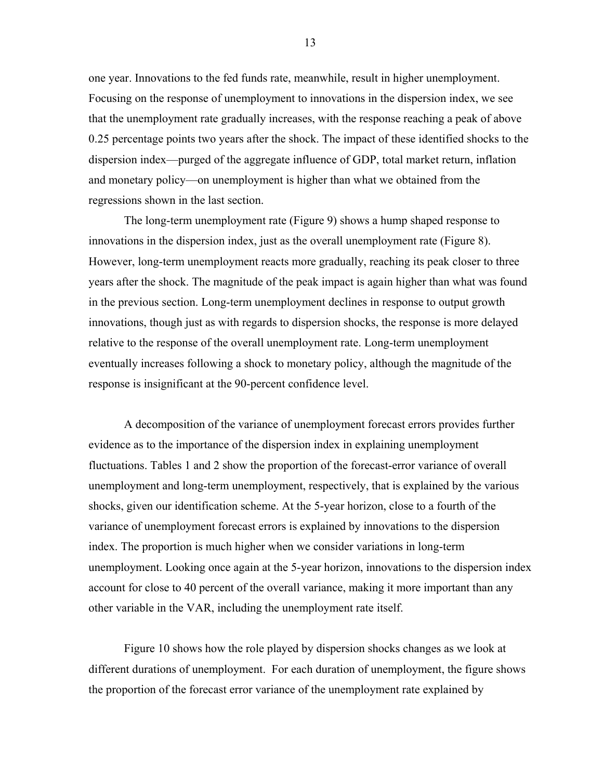one year. Innovations to the fed funds rate, meanwhile, result in higher unemployment. Focusing on the response of unemployment to innovations in the dispersion index, we see that the unemployment rate gradually increases, with the response reaching a peak of above 0.25 percentage points two years after the shock. The impact of these identified shocks to the dispersion index—purged of the aggregate influence of GDP, total market return, inflation and monetary policy—on unemployment is higher than what we obtained from the regressions shown in the last section.

 The long-term unemployment rate (Figure 9) shows a hump shaped response to innovations in the dispersion index, just as the overall unemployment rate (Figure 8). However, long-term unemployment reacts more gradually, reaching its peak closer to three years after the shock. The magnitude of the peak impact is again higher than what was found in the previous section. Long-term unemployment declines in response to output growth innovations, though just as with regards to dispersion shocks, the response is more delayed relative to the response of the overall unemployment rate. Long-term unemployment eventually increases following a shock to monetary policy, although the magnitude of the response is insignificant at the 90-percent confidence level.

A decomposition of the variance of unemployment forecast errors provides further evidence as to the importance of the dispersion index in explaining unemployment fluctuations. Tables 1 and 2 show the proportion of the forecast-error variance of overall unemployment and long-term unemployment, respectively, that is explained by the various shocks, given our identification scheme. At the 5-year horizon, close to a fourth of the variance of unemployment forecast errors is explained by innovations to the dispersion index. The proportion is much higher when we consider variations in long-term unemployment. Looking once again at the 5-year horizon, innovations to the dispersion index account for close to 40 percent of the overall variance, making it more important than any other variable in the VAR, including the unemployment rate itself.

Figure 10 shows how the role played by dispersion shocks changes as we look at different durations of unemployment. For each duration of unemployment, the figure shows the proportion of the forecast error variance of the unemployment rate explained by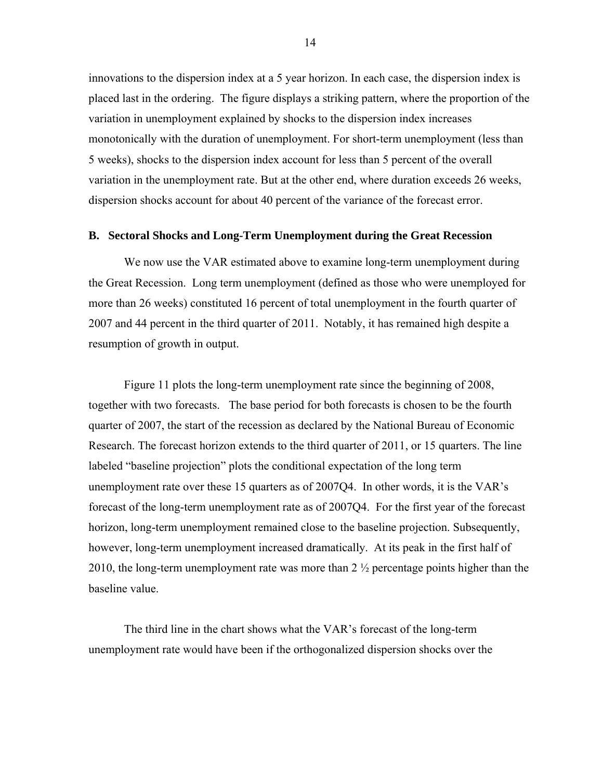innovations to the dispersion index at a 5 year horizon. In each case, the dispersion index is placed last in the ordering. The figure displays a striking pattern, where the proportion of the variation in unemployment explained by shocks to the dispersion index increases monotonically with the duration of unemployment. For short-term unemployment (less than 5 weeks), shocks to the dispersion index account for less than 5 percent of the overall variation in the unemployment rate. But at the other end, where duration exceeds 26 weeks, dispersion shocks account for about 40 percent of the variance of the forecast error.

#### **B. Sectoral Shocks and Long-Term Unemployment during the Great Recession**

We now use the VAR estimated above to examine long-term unemployment during the Great Recession. Long term unemployment (defined as those who were unemployed for more than 26 weeks) constituted 16 percent of total unemployment in the fourth quarter of 2007 and 44 percent in the third quarter of 2011. Notably, it has remained high despite a resumption of growth in output.

Figure 11 plots the long-term unemployment rate since the beginning of 2008, together with two forecasts. The base period for both forecasts is chosen to be the fourth quarter of 2007, the start of the recession as declared by the National Bureau of Economic Research. The forecast horizon extends to the third quarter of 2011, or 15 quarters. The line labeled "baseline projection" plots the conditional expectation of the long term unemployment rate over these 15 quarters as of 2007Q4. In other words, it is the VAR's forecast of the long-term unemployment rate as of 2007Q4. For the first year of the forecast horizon, long-term unemployment remained close to the baseline projection. Subsequently, however, long-term unemployment increased dramatically. At its peak in the first half of 2010, the long-term unemployment rate was more than 2 ½ percentage points higher than the baseline value.

The third line in the chart shows what the VAR's forecast of the long-term unemployment rate would have been if the orthogonalized dispersion shocks over the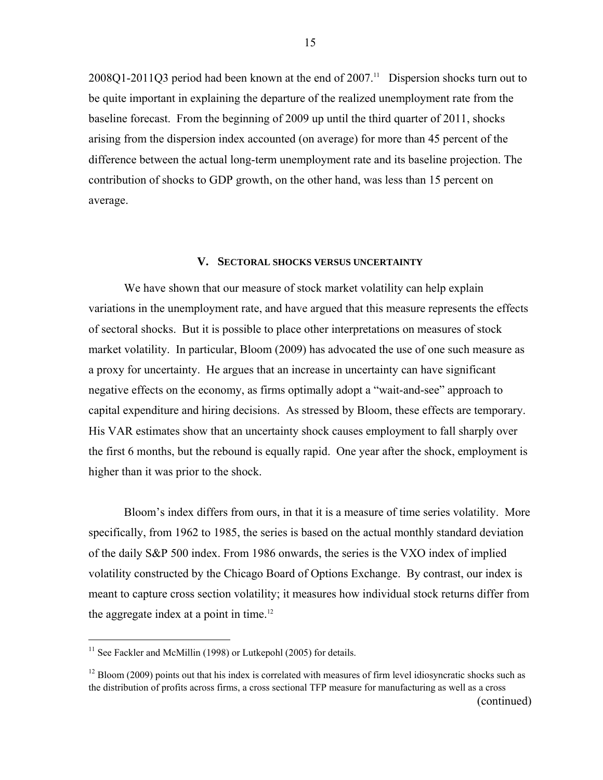$2008Q1-2011Q3$  period had been known at the end of  $2007$ .<sup>11</sup> Dispersion shocks turn out to be quite important in explaining the departure of the realized unemployment rate from the baseline forecast. From the beginning of 2009 up until the third quarter of 2011, shocks arising from the dispersion index accounted (on average) for more than 45 percent of the difference between the actual long-term unemployment rate and its baseline projection. The contribution of shocks to GDP growth, on the other hand, was less than 15 percent on average.

#### **V. SECTORAL SHOCKS VERSUS UNCERTAINTY**

We have shown that our measure of stock market volatility can help explain variations in the unemployment rate, and have argued that this measure represents the effects of sectoral shocks. But it is possible to place other interpretations on measures of stock market volatility. In particular, Bloom (2009) has advocated the use of one such measure as a proxy for uncertainty. He argues that an increase in uncertainty can have significant negative effects on the economy, as firms optimally adopt a "wait-and-see" approach to capital expenditure and hiring decisions. As stressed by Bloom, these effects are temporary. His VAR estimates show that an uncertainty shock causes employment to fall sharply over the first 6 months, but the rebound is equally rapid. One year after the shock, employment is higher than it was prior to the shock.

Bloom's index differs from ours, in that it is a measure of time series volatility. More specifically, from 1962 to 1985, the series is based on the actual monthly standard deviation of the daily S&P 500 index. From 1986 onwards, the series is the VXO index of implied volatility constructed by the Chicago Board of Options Exchange. By contrast, our index is meant to capture cross section volatility; it measures how individual stock returns differ from the aggregate index at a point in time.<sup>12</sup>

 $\overline{a}$ 

 $11$  See Fackler and McMillin (1998) or Lutkepohl (2005) for details.

 $12$  Bloom (2009) points out that his index is correlated with measures of firm level idiosyncratic shocks such as the distribution of profits across firms, a cross sectional TFP measure for manufacturing as well as a cross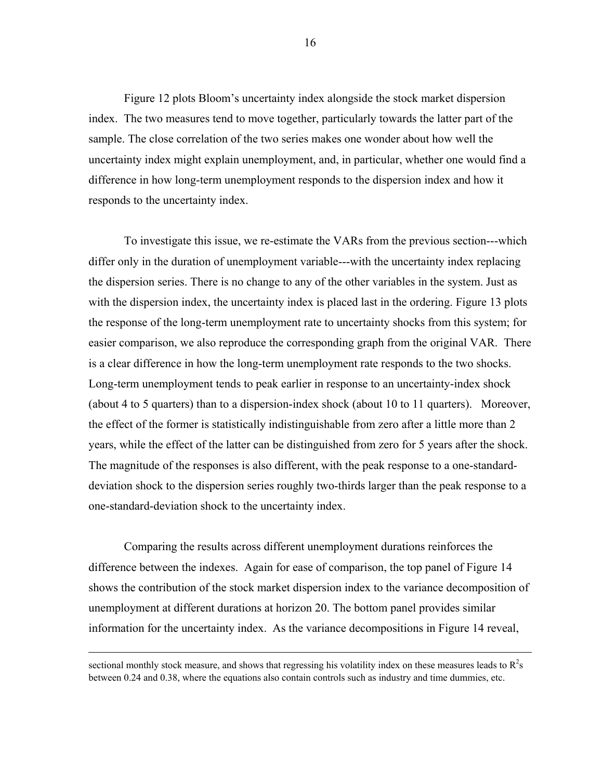Figure 12 plots Bloom's uncertainty index alongside the stock market dispersion index. The two measures tend to move together, particularly towards the latter part of the sample. The close correlation of the two series makes one wonder about how well the uncertainty index might explain unemployment, and, in particular, whether one would find a difference in how long-term unemployment responds to the dispersion index and how it responds to the uncertainty index.

To investigate this issue, we re-estimate the VARs from the previous section---which differ only in the duration of unemployment variable---with the uncertainty index replacing the dispersion series. There is no change to any of the other variables in the system. Just as with the dispersion index, the uncertainty index is placed last in the ordering. Figure 13 plots the response of the long-term unemployment rate to uncertainty shocks from this system; for easier comparison, we also reproduce the corresponding graph from the original VAR. There is a clear difference in how the long-term unemployment rate responds to the two shocks. Long-term unemployment tends to peak earlier in response to an uncertainty-index shock (about 4 to 5 quarters) than to a dispersion-index shock (about 10 to 11 quarters). Moreover, the effect of the former is statistically indistinguishable from zero after a little more than 2 years, while the effect of the latter can be distinguished from zero for 5 years after the shock. The magnitude of the responses is also different, with the peak response to a one-standarddeviation shock to the dispersion series roughly two-thirds larger than the peak response to a one-standard-deviation shock to the uncertainty index.

Comparing the results across different unemployment durations reinforces the difference between the indexes. Again for ease of comparison, the top panel of Figure 14 shows the contribution of the stock market dispersion index to the variance decomposition of unemployment at different durations at horizon 20. The bottom panel provides similar information for the uncertainty index. As the variance decompositions in Figure 14 reveal,

1

sectional monthly stock measure, and shows that regressing his volatility index on these measures leads to  $R^2s$ between 0.24 and 0.38, where the equations also contain controls such as industry and time dummies, etc.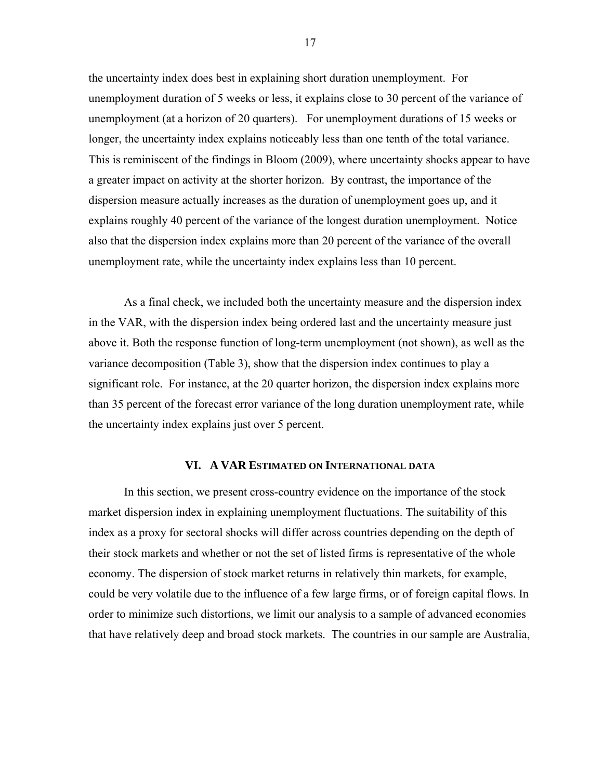the uncertainty index does best in explaining short duration unemployment. For unemployment duration of 5 weeks or less, it explains close to 30 percent of the variance of unemployment (at a horizon of 20 quarters). For unemployment durations of 15 weeks or longer, the uncertainty index explains noticeably less than one tenth of the total variance. This is reminiscent of the findings in Bloom (2009), where uncertainty shocks appear to have a greater impact on activity at the shorter horizon. By contrast, the importance of the dispersion measure actually increases as the duration of unemployment goes up, and it explains roughly 40 percent of the variance of the longest duration unemployment. Notice also that the dispersion index explains more than 20 percent of the variance of the overall unemployment rate, while the uncertainty index explains less than 10 percent.

As a final check, we included both the uncertainty measure and the dispersion index in the VAR, with the dispersion index being ordered last and the uncertainty measure just above it. Both the response function of long-term unemployment (not shown), as well as the variance decomposition (Table 3), show that the dispersion index continues to play a significant role. For instance, at the 20 quarter horizon, the dispersion index explains more than 35 percent of the forecast error variance of the long duration unemployment rate, while the uncertainty index explains just over 5 percent.

## **VI. A VAR ESTIMATED ON INTERNATIONAL DATA**

In this section, we present cross-country evidence on the importance of the stock market dispersion index in explaining unemployment fluctuations. The suitability of this index as a proxy for sectoral shocks will differ across countries depending on the depth of their stock markets and whether or not the set of listed firms is representative of the whole economy. The dispersion of stock market returns in relatively thin markets, for example, could be very volatile due to the influence of a few large firms, or of foreign capital flows. In order to minimize such distortions, we limit our analysis to a sample of advanced economies that have relatively deep and broad stock markets. The countries in our sample are Australia,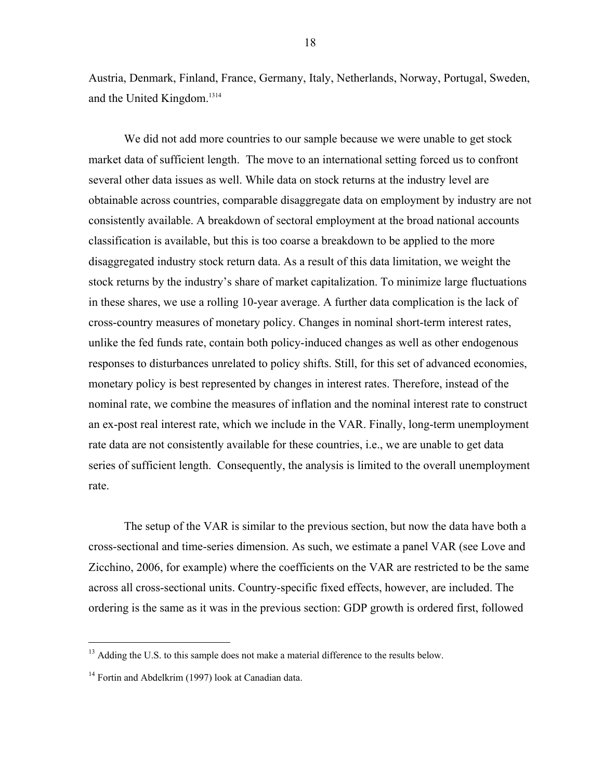Austria, Denmark, Finland, France, Germany, Italy, Netherlands, Norway, Portugal, Sweden, and the United Kingdom.1314

We did not add more countries to our sample because we were unable to get stock market data of sufficient length. The move to an international setting forced us to confront several other data issues as well. While data on stock returns at the industry level are obtainable across countries, comparable disaggregate data on employment by industry are not consistently available. A breakdown of sectoral employment at the broad national accounts classification is available, but this is too coarse a breakdown to be applied to the more disaggregated industry stock return data. As a result of this data limitation, we weight the stock returns by the industry's share of market capitalization. To minimize large fluctuations in these shares, we use a rolling 10-year average. A further data complication is the lack of cross-country measures of monetary policy. Changes in nominal short-term interest rates, unlike the fed funds rate, contain both policy-induced changes as well as other endogenous responses to disturbances unrelated to policy shifts. Still, for this set of advanced economies, monetary policy is best represented by changes in interest rates. Therefore, instead of the nominal rate, we combine the measures of inflation and the nominal interest rate to construct an ex-post real interest rate, which we include in the VAR. Finally, long-term unemployment rate data are not consistently available for these countries, i.e., we are unable to get data series of sufficient length. Consequently, the analysis is limited to the overall unemployment rate.

The setup of the VAR is similar to the previous section, but now the data have both a cross-sectional and time-series dimension. As such, we estimate a panel VAR (see Love and Zicchino, 2006, for example) where the coefficients on the VAR are restricted to be the same across all cross-sectional units. Country-specific fixed effects, however, are included. The ordering is the same as it was in the previous section: GDP growth is ordered first, followed

<sup>&</sup>lt;sup>13</sup> Adding the U.S. to this sample does not make a material difference to the results below.

<sup>&</sup>lt;sup>14</sup> Fortin and Abdelkrim (1997) look at Canadian data.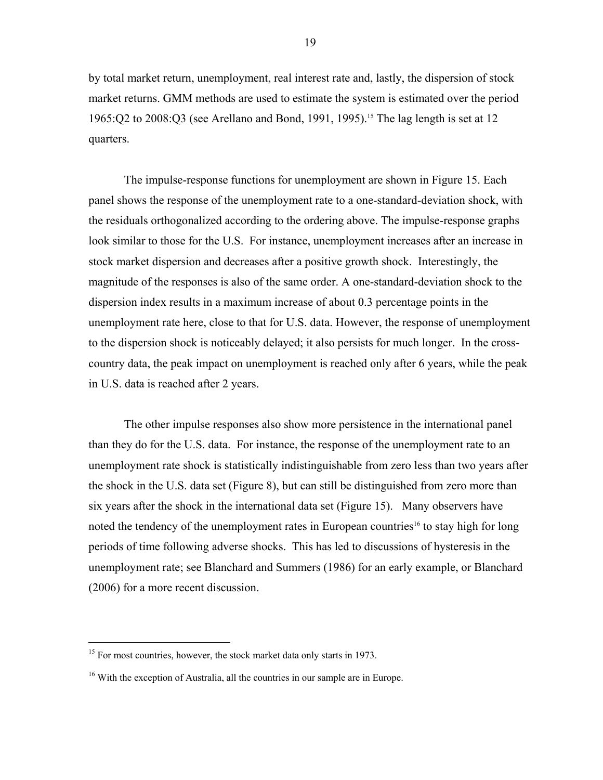by total market return, unemployment, real interest rate and, lastly, the dispersion of stock market returns. GMM methods are used to estimate the system is estimated over the period 1965:Q2 to 2008:Q3 (see Arellano and Bond, 1991, 1995).<sup>15</sup> The lag length is set at 12 quarters.

The impulse-response functions for unemployment are shown in Figure 15. Each panel shows the response of the unemployment rate to a one-standard-deviation shock, with the residuals orthogonalized according to the ordering above. The impulse-response graphs look similar to those for the U.S. For instance, unemployment increases after an increase in stock market dispersion and decreases after a positive growth shock. Interestingly, the magnitude of the responses is also of the same order. A one-standard-deviation shock to the dispersion index results in a maximum increase of about 0.3 percentage points in the unemployment rate here, close to that for U.S. data. However, the response of unemployment to the dispersion shock is noticeably delayed; it also persists for much longer. In the crosscountry data, the peak impact on unemployment is reached only after 6 years, while the peak in U.S. data is reached after 2 years.

The other impulse responses also show more persistence in the international panel than they do for the U.S. data. For instance, the response of the unemployment rate to an unemployment rate shock is statistically indistinguishable from zero less than two years after the shock in the U.S. data set (Figure 8), but can still be distinguished from zero more than six years after the shock in the international data set (Figure 15). Many observers have noted the tendency of the unemployment rates in European countries<sup>16</sup> to stay high for long periods of time following adverse shocks. This has led to discussions of hysteresis in the unemployment rate; see Blanchard and Summers (1986) for an early example, or Blanchard (2006) for a more recent discussion.

<sup>&</sup>lt;sup>15</sup> For most countries, however, the stock market data only starts in 1973.

<sup>&</sup>lt;sup>16</sup> With the exception of Australia, all the countries in our sample are in Europe.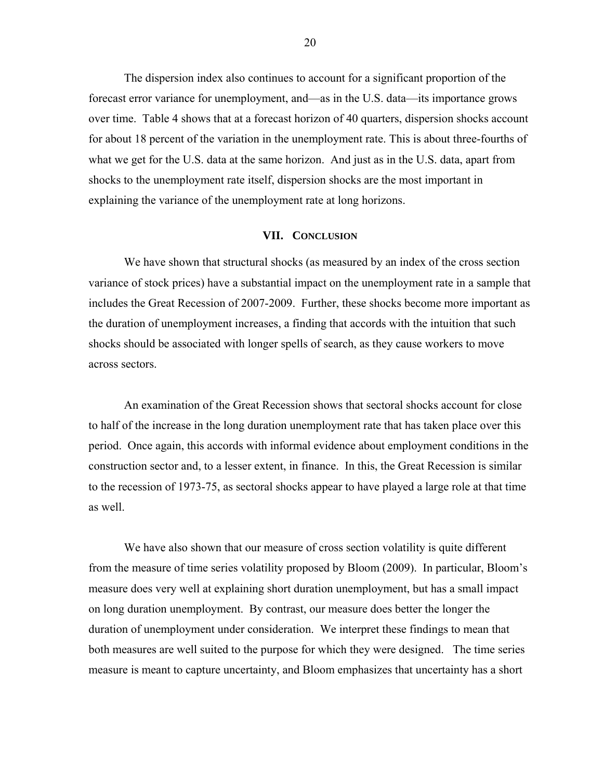The dispersion index also continues to account for a significant proportion of the forecast error variance for unemployment, and—as in the U.S. data—its importance grows over time. Table 4 shows that at a forecast horizon of 40 quarters, dispersion shocks account for about 18 percent of the variation in the unemployment rate. This is about three-fourths of what we get for the U.S. data at the same horizon. And just as in the U.S. data, apart from shocks to the unemployment rate itself, dispersion shocks are the most important in explaining the variance of the unemployment rate at long horizons.

## **VII. CONCLUSION**

 We have shown that structural shocks (as measured by an index of the cross section variance of stock prices) have a substantial impact on the unemployment rate in a sample that includes the Great Recession of 2007-2009. Further, these shocks become more important as the duration of unemployment increases, a finding that accords with the intuition that such shocks should be associated with longer spells of search, as they cause workers to move across sectors.

An examination of the Great Recession shows that sectoral shocks account for close to half of the increase in the long duration unemployment rate that has taken place over this period. Once again, this accords with informal evidence about employment conditions in the construction sector and, to a lesser extent, in finance. In this, the Great Recession is similar to the recession of 1973-75, as sectoral shocks appear to have played a large role at that time as well.

We have also shown that our measure of cross section volatility is quite different from the measure of time series volatility proposed by Bloom (2009). In particular, Bloom's measure does very well at explaining short duration unemployment, but has a small impact on long duration unemployment. By contrast, our measure does better the longer the duration of unemployment under consideration. We interpret these findings to mean that both measures are well suited to the purpose for which they were designed. The time series measure is meant to capture uncertainty, and Bloom emphasizes that uncertainty has a short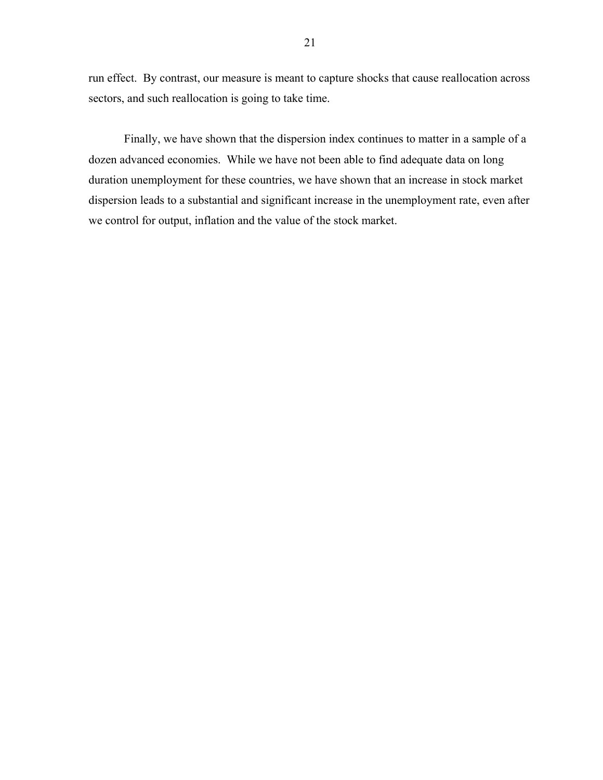run effect. By contrast, our measure is meant to capture shocks that cause reallocation across sectors, and such reallocation is going to take time.

Finally, we have shown that the dispersion index continues to matter in a sample of a dozen advanced economies. While we have not been able to find adequate data on long duration unemployment for these countries, we have shown that an increase in stock market dispersion leads to a substantial and significant increase in the unemployment rate, even after we control for output, inflation and the value of the stock market.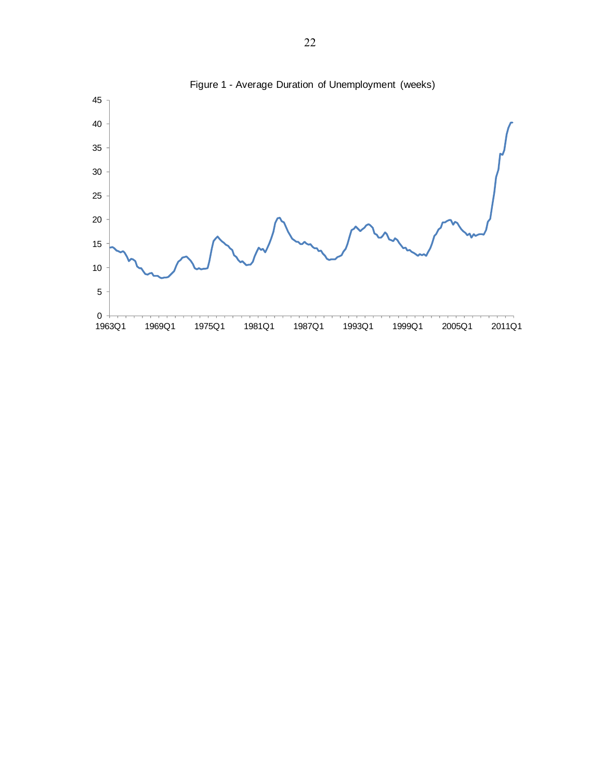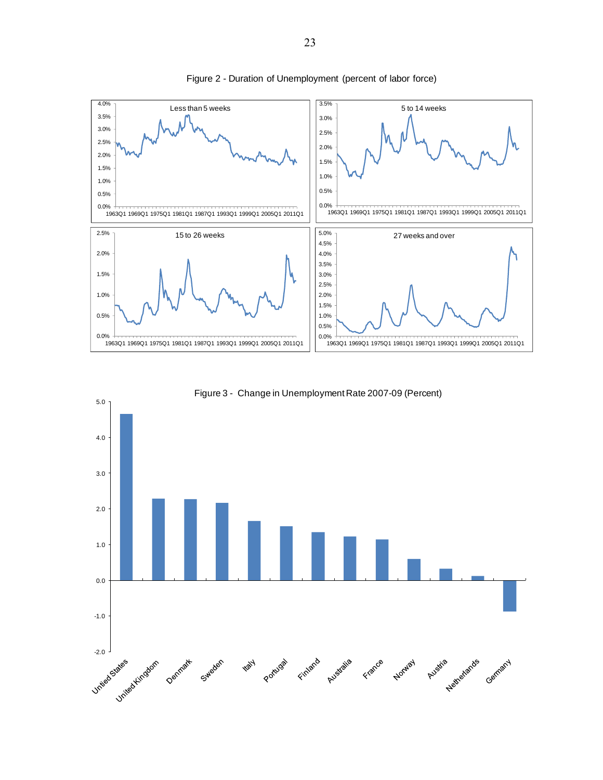

Figure 2 - Duration of Unemployment (percent of labor force)



Figure 3 - Change in Unemployment Rate 2007-09 (Percent)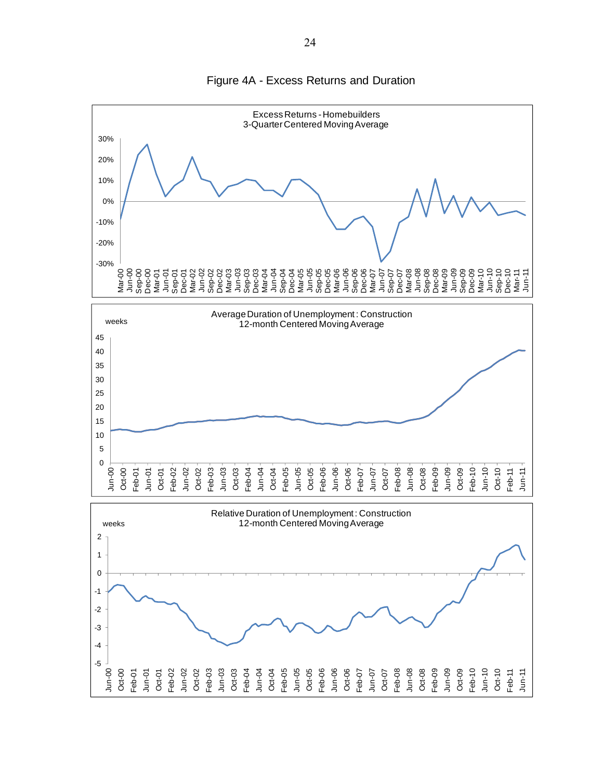

Figure 4A - Excess Returns and Duration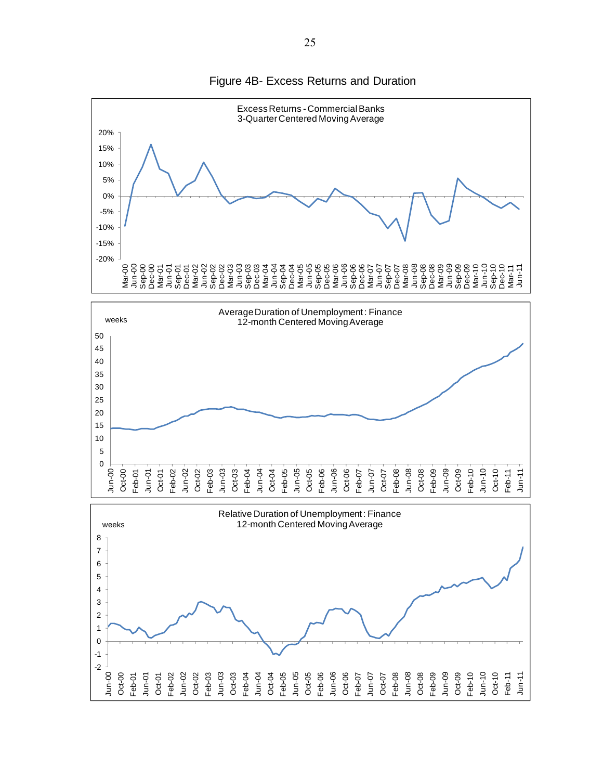

Figure 4B- Excess Returns and Duration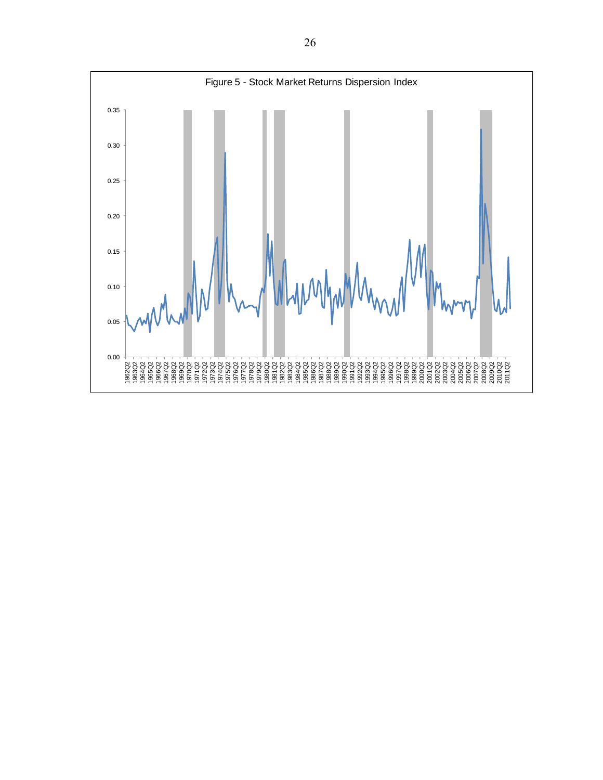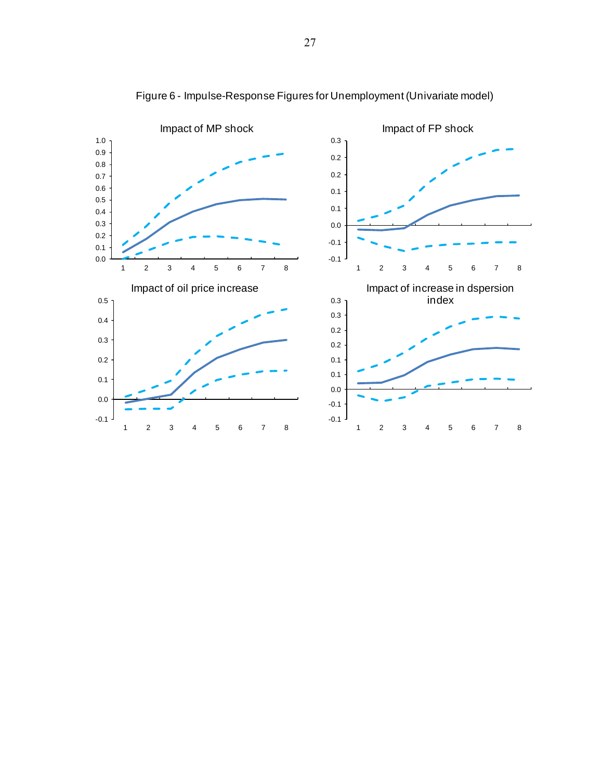

Figure 6 - Impulse-Response Figures for Unemployment (Univariate model)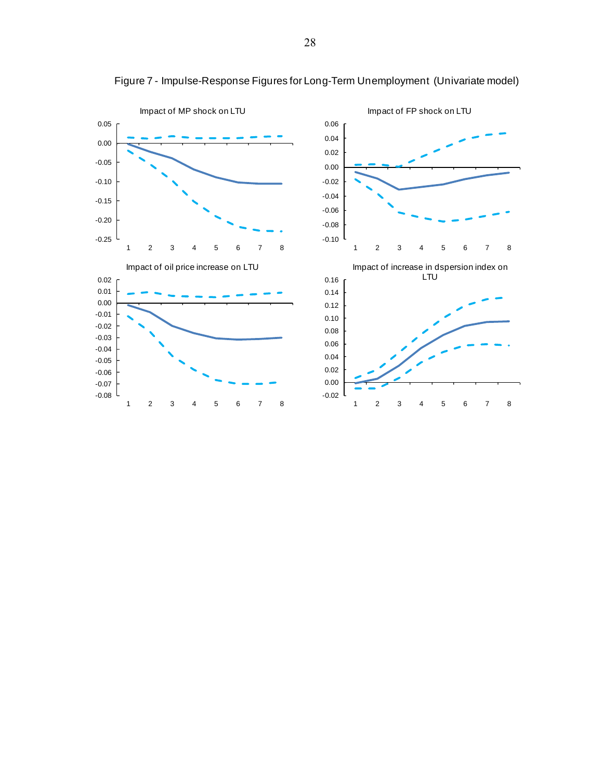

Figure 7 - Impulse-Response Figures for Long-Term Unemployment (Univariate model)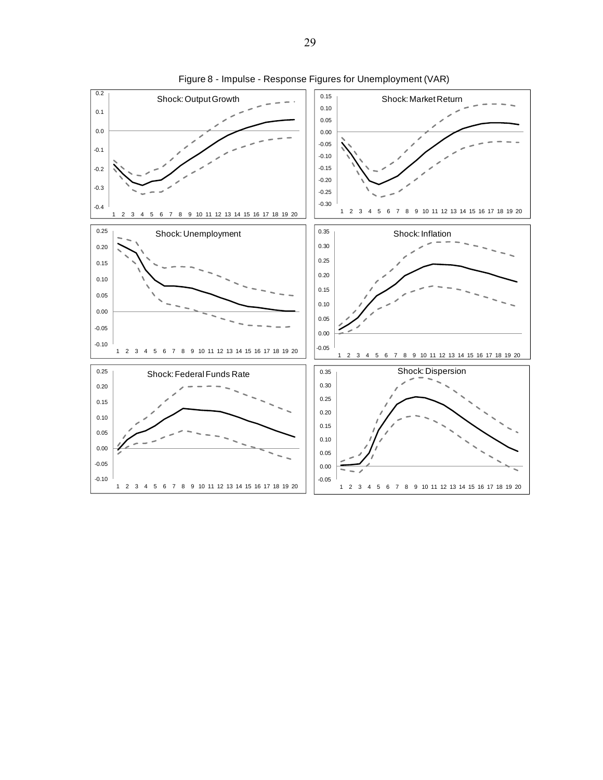

Figure 8 - Impulse - Response Figures for Unemployment (VAR)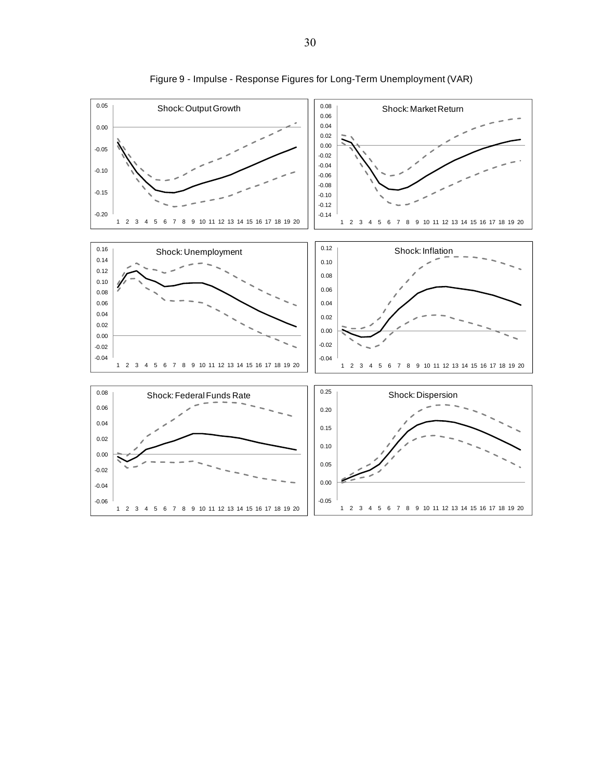

Figure 9 - Impulse - Response Figures for Long-Term Unemployment (VAR)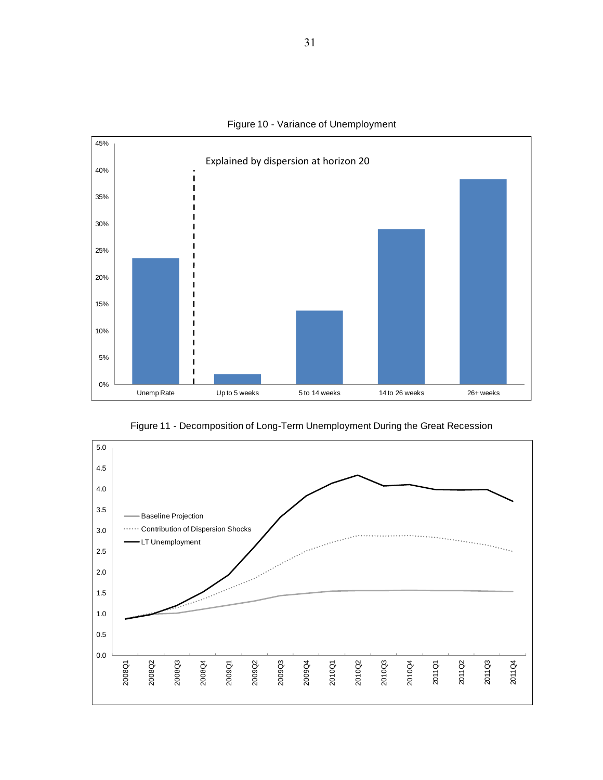

Figure 10 - Variance of Unemployment

Figure 11 - Decomposition of Long-Term Unemployment During the Great Recession

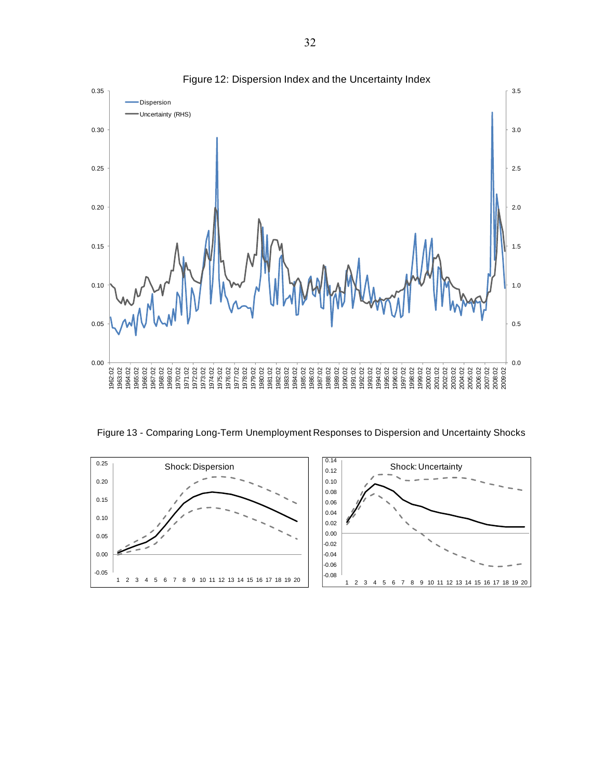

Figure 13 - Comparing Long-Term Unemployment Responses to Dispersion and Uncertainty Shocks

![](_page_31_Figure_2.jpeg)

Figure 12: Dispersion Index and the Uncertainty Index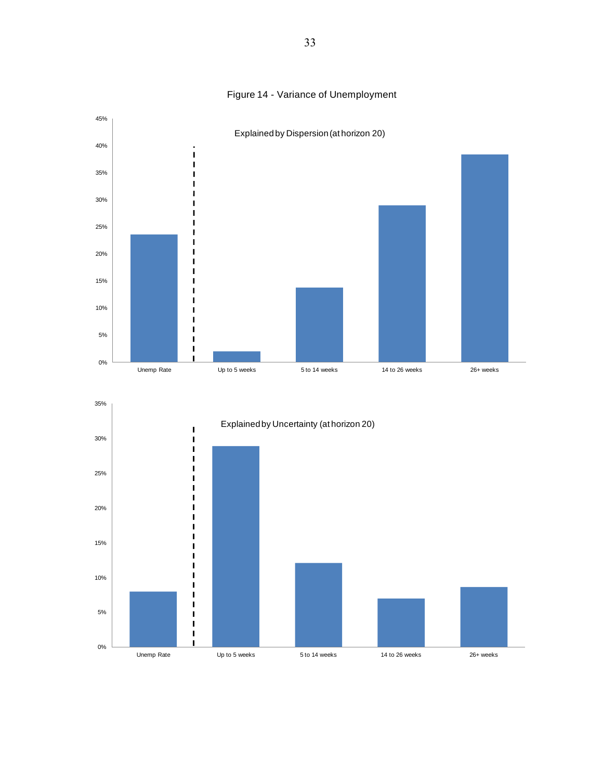![](_page_32_Figure_0.jpeg)

# Figure 14 - Variance of Unemployment

![](_page_32_Figure_2.jpeg)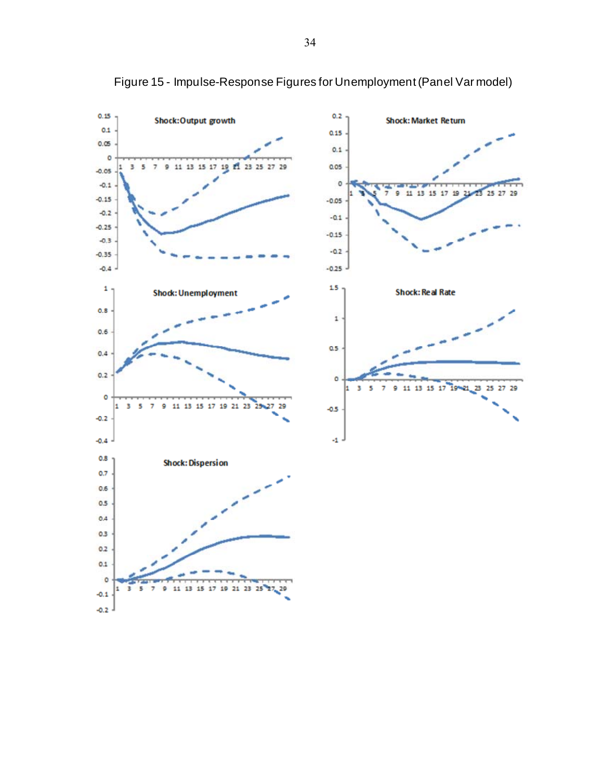![](_page_33_Figure_0.jpeg)

Figure 15 - Impulse-Response Figures for Unemployment (Panel Var model)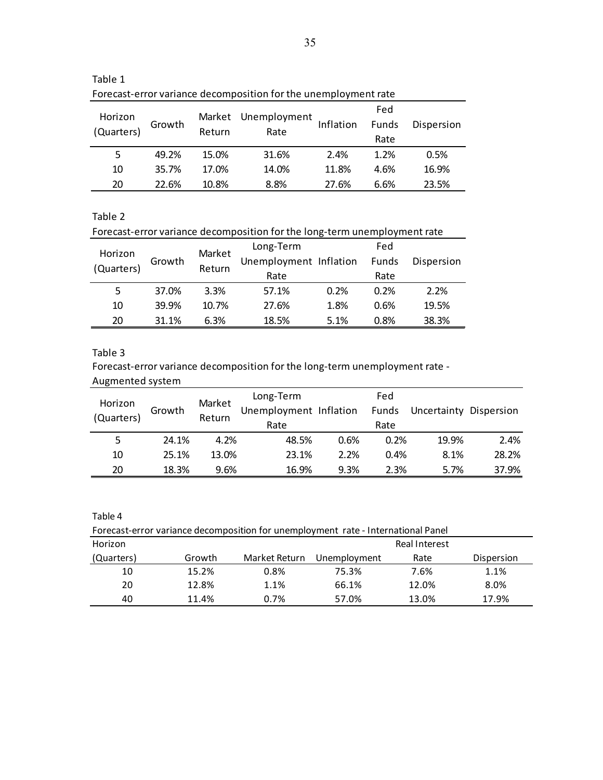| Horizon<br>(Quarters) | Growth | Return | Market Unemployment<br>Rate | Inflation | Fed<br>Funds<br>Rate | Dispersion |
|-----------------------|--------|--------|-----------------------------|-----------|----------------------|------------|
| 5                     | 49.2%  | 15.0%  | 31.6%                       | 2.4%      | 1.2%                 | 0.5%       |
| 10                    | 35.7%  | 17.0%  | 14.0%                       | 11.8%     | 4.6%                 | 16.9%      |
| 20                    | 22.6%  | 10.8%  | 8.8%                        | 27.6%     | 6.6%                 | 23.5%      |

Table 1

Forecast‐error variance decomposition for the unemployment rate

Table 2

Forecast-error variance decomposition for the long-term unemployment rate

| Horizon    | Growth | Market<br>Return | Long-Term<br>Unemployment Inflation |      | Fed<br>Funds | Dispersion |
|------------|--------|------------------|-------------------------------------|------|--------------|------------|
| (Quarters) |        |                  | Rate                                |      | Rate         |            |
| 5          | 37.0%  | 3.3%             | 57.1%                               | 0.2% | 0.2%         | 2.2%       |
| 10         | 39.9%  | 10.7%            | 27.6%                               | 1.8% | 0.6%         | 19.5%      |
| 20         | 31.1%  | 6.3%             | 18.5%                               | 5.1% | 0.8%         | 38.3%      |

Table 3

Forecast-error variance decomposition for the long-term unemployment rate -

| Augmented system      |        |        |                        |      |       |                        |       |
|-----------------------|--------|--------|------------------------|------|-------|------------------------|-------|
|                       |        | Market | Long-Term              |      | Fed   |                        |       |
| Horizon<br>(Quarters) | Growth | Return | Unemployment Inflation |      | Funds | Uncertainty Dispersion |       |
|                       |        |        | Rate                   |      | Rate  |                        |       |
| 5                     | 24.1%  | 4.2%   | 48.5%                  | 0.6% | 0.2%  | 19.9%                  | 2.4%  |
| 10                    | 25.1%  | 13.0%  | 23.1%                  | 2.2% | 0.4%  | 8.1%                   | 28.2% |
| 20                    | 18.3%  | 9.6%   | 16.9%                  | 9.3% | 2.3%  | 5.7%                   | 37.9% |

| Forecast-error variance decomposition for unemployment rate - International Panel |        |               |              |               |            |  |  |
|-----------------------------------------------------------------------------------|--------|---------------|--------------|---------------|------------|--|--|
| Horizon                                                                           |        |               |              | Real Interest |            |  |  |
| (Quarters)                                                                        | Growth | Market Return | Unemployment | Rate          | Dispersion |  |  |
| 10                                                                                | 15.2%  | 0.8%          | 75.3%        | 7.6%          | 1.1%       |  |  |
| 20                                                                                | 12.8%  | 1.1%          | 66.1%        | 12.0%         | 8.0%       |  |  |
| 40                                                                                | 11.4%  | 0.7%          | 57.0%        | 13.0%         | 17.9%      |  |  |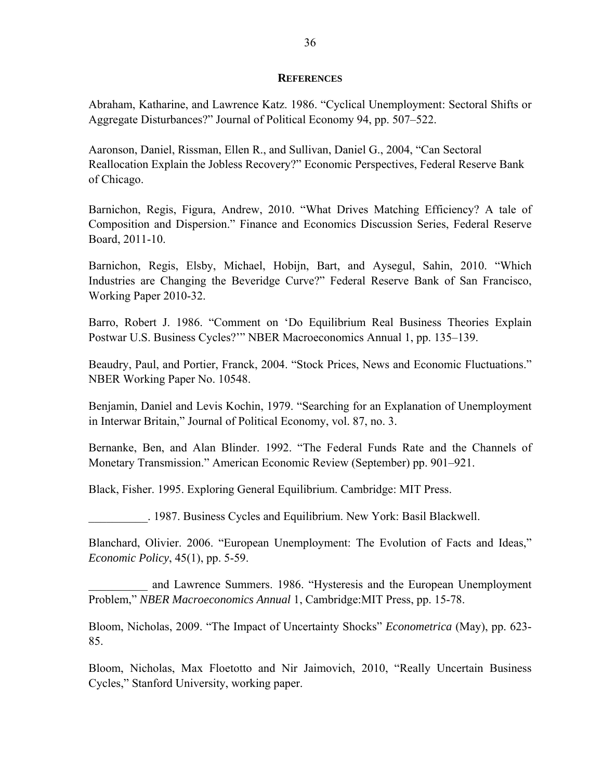#### **REFERENCES**

Abraham, Katharine, and Lawrence Katz. 1986. "Cyclical Unemployment: Sectoral Shifts or Aggregate Disturbances?" Journal of Political Economy 94, pp. 507–522.

Aaronson, Daniel, Rissman, Ellen R., and Sullivan, Daniel G., 2004, "Can Sectoral Reallocation Explain the Jobless Recovery?" Economic Perspectives, Federal Reserve Bank of Chicago.

Barnichon, Regis, Figura, Andrew, 2010. "What Drives Matching Efficiency? A tale of Composition and Dispersion." Finance and Economics Discussion Series, Federal Reserve Board, 2011-10.

Barnichon, Regis, Elsby, Michael, Hobijn, Bart, and Aysegul, Sahin, 2010. "Which Industries are Changing the Beveridge Curve?" Federal Reserve Bank of San Francisco, Working Paper 2010-32.

Barro, Robert J. 1986. "Comment on 'Do Equilibrium Real Business Theories Explain Postwar U.S. Business Cycles?'" NBER Macroeconomics Annual 1, pp. 135–139.

Beaudry, Paul, and Portier, Franck, 2004. "Stock Prices, News and Economic Fluctuations." NBER Working Paper No. 10548.

Benjamin, Daniel and Levis Kochin, 1979. "Searching for an Explanation of Unemployment in Interwar Britain," Journal of Political Economy, vol. 87, no. 3.

Bernanke, Ben, and Alan Blinder. 1992. "The Federal Funds Rate and the Channels of Monetary Transmission." American Economic Review (September) pp. 901–921.

Black, Fisher. 1995. Exploring General Equilibrium. Cambridge: MIT Press.

\_\_\_\_\_\_\_\_\_\_. 1987. Business Cycles and Equilibrium. New York: Basil Blackwell.

Blanchard, Olivier. 2006. "European Unemployment: The Evolution of Facts and Ideas," *Economic Policy*, 45(1), pp. 5-59.

and Lawrence Summers. 1986. "Hysteresis and the European Unemployment Problem," *NBER Macroeconomics Annual* 1, Cambridge:MIT Press, pp. 15-78.

Bloom, Nicholas, 2009. "The Impact of Uncertainty Shocks" *Econometrica* (May), pp. 623- 85.

Bloom, Nicholas, Max Floetotto and Nir Jaimovich, 2010, "Really Uncertain Business Cycles," Stanford University, working paper.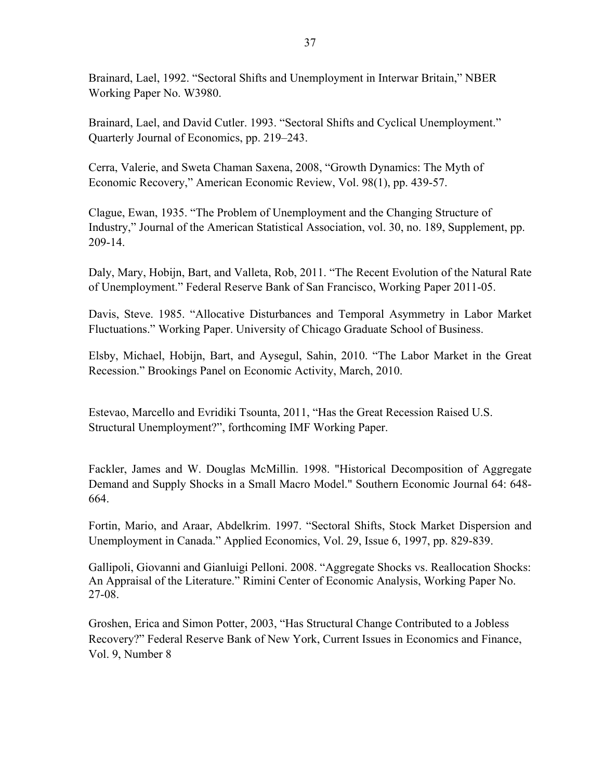Brainard, Lael, 1992. "Sectoral Shifts and Unemployment in Interwar Britain," NBER Working Paper No. W3980.

Brainard, Lael, and David Cutler. 1993. "Sectoral Shifts and Cyclical Unemployment." Quarterly Journal of Economics, pp. 219–243.

Cerra, Valerie, and Sweta Chaman Saxena, 2008, "Growth Dynamics: The Myth of Economic Recovery," American Economic Review, Vol. 98(1), pp. 439-57.

Clague, Ewan, 1935. "The Problem of Unemployment and the Changing Structure of Industry," Journal of the American Statistical Association, vol. 30, no. 189, Supplement, pp. 209-14.

Daly, Mary, Hobijn, Bart, and Valleta, Rob, 2011. "The Recent Evolution of the Natural Rate of Unemployment." Federal Reserve Bank of San Francisco, Working Paper 2011-05.

Davis, Steve. 1985. "Allocative Disturbances and Temporal Asymmetry in Labor Market Fluctuations." Working Paper. University of Chicago Graduate School of Business.

Elsby, Michael, Hobijn, Bart, and Aysegul, Sahin, 2010. "The Labor Market in the Great Recession." Brookings Panel on Economic Activity, March, 2010.

Estevao, Marcello and Evridiki Tsounta, 2011, "Has the Great Recession Raised U.S. Structural Unemployment?", forthcoming IMF Working Paper.

Fackler, James and W. Douglas McMillin. 1998. "Historical Decomposition of Aggregate Demand and Supply Shocks in a Small Macro Model." Southern Economic Journal 64: 648- 664.

Fortin, Mario, and Araar, Abdelkrim. 1997. "Sectoral Shifts, Stock Market Dispersion and Unemployment in Canada." Applied Economics, Vol. 29, Issue 6, 1997, pp. 829-839.

Gallipoli, Giovanni and Gianluigi Pelloni. 2008. "Aggregate Shocks vs. Reallocation Shocks: An Appraisal of the Literature." Rimini Center of Economic Analysis, Working Paper No. 27-08.

Groshen, Erica and Simon Potter, 2003, "Has Structural Change Contributed to a Jobless Recovery?" Federal Reserve Bank of New York, Current Issues in Economics and Finance, Vol. 9, Number 8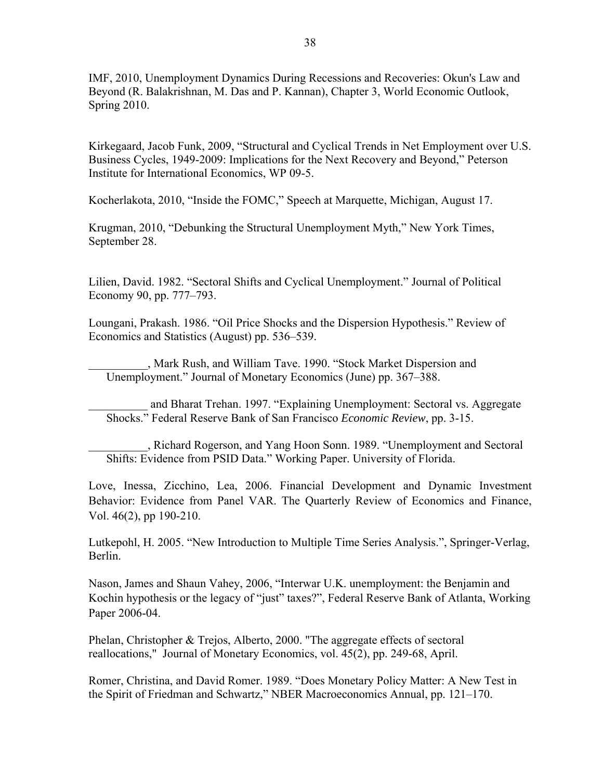IMF, 2010, Unemployment Dynamics During Recessions and Recoveries: Okun's Law and Beyond (R. Balakrishnan, M. Das and P. Kannan), Chapter 3, World Economic Outlook, Spring 2010.

Kirkegaard, Jacob Funk, 2009, "Structural and Cyclical Trends in Net Employment over U.S. Business Cycles, 1949-2009: Implications for the Next Recovery and Beyond," Peterson Institute for International Economics, WP 09-5.

Kocherlakota, 2010, "Inside the FOMC," Speech at Marquette, Michigan, August 17.

Krugman, 2010, "Debunking the Structural Unemployment Myth," New York Times, September 28.

Lilien, David. 1982. "Sectoral Shifts and Cyclical Unemployment." Journal of Political Economy 90, pp. 777–793.

Loungani, Prakash. 1986. "Oil Price Shocks and the Dispersion Hypothesis." Review of Economics and Statistics (August) pp. 536–539.

\_\_\_\_\_\_\_\_\_\_, Mark Rush, and William Tave. 1990. "Stock Market Dispersion and Unemployment." Journal of Monetary Economics (June) pp. 367–388.

\_\_\_\_\_\_\_\_\_\_ and Bharat Trehan. 1997. "Explaining Unemployment: Sectoral vs. Aggregate Shocks." Federal Reserve Bank of San Francisco *Economic Review*, pp. 3-15.

\_\_\_\_\_\_\_\_\_\_, Richard Rogerson, and Yang Hoon Sonn. 1989. "Unemployment and Sectoral Shifts: Evidence from PSID Data." Working Paper. University of Florida.

Love, Inessa, Zicchino, Lea, 2006. Financial Development and Dynamic Investment Behavior: Evidence from Panel VAR. The Quarterly Review of Economics and Finance, Vol. 46(2), pp 190-210.

Lutkepohl, H. 2005. "New Introduction to Multiple Time Series Analysis.", Springer-Verlag, Berlin.

Nason, James and Shaun Vahey, 2006, "Interwar U.K. unemployment: the Benjamin and Kochin hypothesis or the legacy of "just" taxes?", Federal Reserve Bank of Atlanta, Working Paper 2006-04.

Phelan, Christopher & Trejos, Alberto, 2000. "The aggregate effects of sectoral reallocations," Journal of Monetary Economics, vol. 45(2), pp. 249-68, April.

Romer, Christina, and David Romer. 1989. "Does Monetary Policy Matter: A New Test in the Spirit of Friedman and Schwartz," NBER Macroeconomics Annual, pp. 121–170.